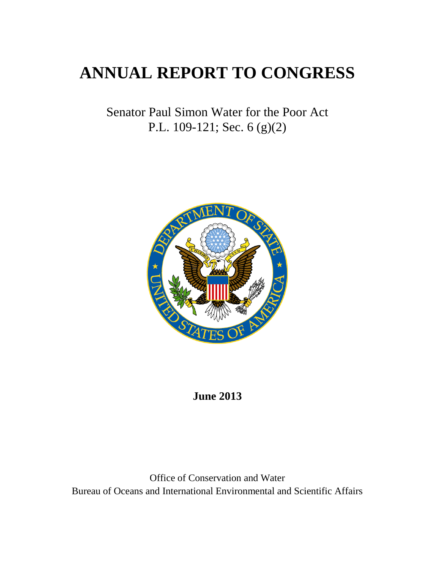# **ANNUAL REPORT TO CONGRESS**

Senator Paul Simon Water for the Poor Act P.L. 109-121; Sec. 6 (g)(2)



## **June 2013**

Office of Conservation and Water Bureau of Oceans and International Environmental and Scientific Affairs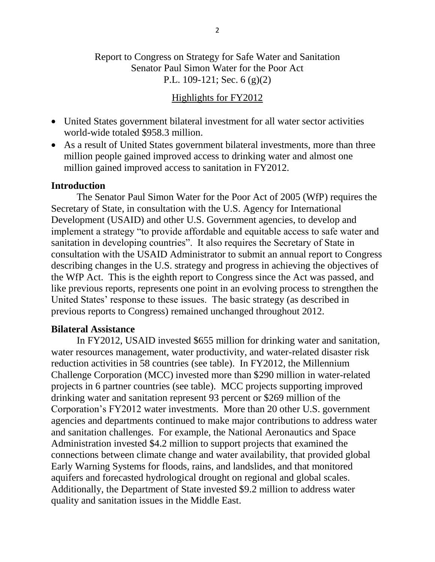### Report to Congress on Strategy for Safe Water and Sanitation Senator Paul Simon Water for the Poor Act P.L. 109-121; Sec. 6 (g)(2)

#### Highlights for FY2012

- United States government bilateral investment for all water sector activities world-wide totaled \$958.3 million.
- As a result of United States government bilateral investments, more than three million people gained improved access to drinking water and almost one million gained improved access to sanitation in FY2012.

#### **Introduction**

The Senator Paul Simon Water for the Poor Act of 2005 (WfP) requires the Secretary of State, in consultation with the U.S. Agency for International Development (USAID) and other U.S. Government agencies, to develop and implement a strategy "to provide affordable and equitable access to safe water and sanitation in developing countries". It also requires the Secretary of State in consultation with the USAID Administrator to submit an annual report to Congress describing changes in the U.S. strategy and progress in achieving the objectives of the WfP Act. This is the eighth report to Congress since the Act was passed, and like previous reports, represents one point in an evolving process to strengthen the United States' response to these issues. The basic strategy (as described in previous reports to Congress) remained unchanged throughout 2012.

#### **Bilateral Assistance**

In FY2012, USAID invested \$655 million for drinking water and sanitation, water resources management, water productivity, and water-related disaster risk reduction activities in 58 countries (see table). In FY2012, the Millennium Challenge Corporation (MCC) invested more than \$290 million in water-related projects in 6 partner countries (see table). MCC projects supporting improved drinking water and sanitation represent 93 percent or \$269 million of the Corporation's FY2012 water investments. More than 20 other U.S. government agencies and departments continued to make major contributions to address water and sanitation challenges. For example, the National Aeronautics and Space Administration invested \$4.2 million to support projects that examined the connections between climate change and water availability, that provided global Early Warning Systems for floods, rains, and landslides, and that monitored aquifers and forecasted hydrological drought on regional and global scales. Additionally, the Department of State invested \$9.2 million to address water quality and sanitation issues in the Middle East.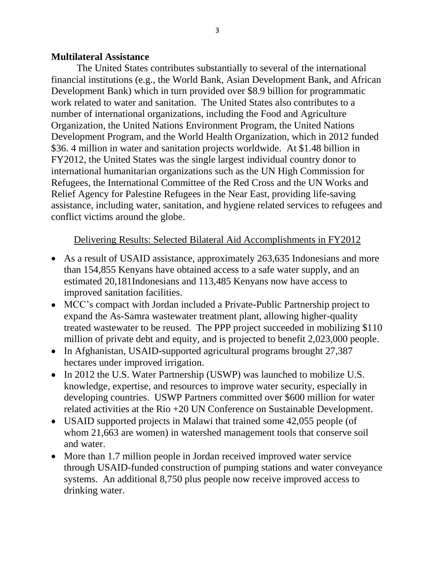#### **Multilateral Assistance**

The United States contributes substantially to several of the international financial institutions (e.g., the World Bank, Asian Development Bank, and African Development Bank) which in turn provided over \$8.9 billion for programmatic work related to water and sanitation. The United States also contributes to a number of international organizations, including the Food and Agriculture Organization, the United Nations Environment Program, the United Nations Development Program, and the World Health Organization, which in 2012 funded \$36. 4 million in water and sanitation projects worldwide. At \$1.48 billion in FY2012, the United States was the single largest individual country donor to international humanitarian organizations such as the UN High Commission for Refugees, the International Committee of the Red Cross and the UN Works and Relief Agency for Palestine Refugees in the Near East, providing life-saving assistance, including water, sanitation, and hygiene related services to refugees and conflict victims around the globe.

#### Delivering Results: Selected Bilateral Aid Accomplishments in FY2012

- As a result of USAID assistance, approximately 263,635 Indonesians and more than 154,855 Kenyans have obtained access to a safe water supply, and an estimated 20,181Indonesians and 113,485 Kenyans now have access to improved sanitation facilities.
- MCC's compact with Jordan included a Private-Public Partnership project to expand the As-Samra wastewater treatment plant, allowing higher-quality treated wastewater to be reused. The PPP project succeeded in mobilizing \$110 million of private debt and equity, and is projected to benefit 2,023,000 people.
- In Afghanistan, USAID-supported agricultural programs brought 27,387 hectares under improved irrigation.
- In 2012 the U.S. Water Partnership (USWP) was launched to mobilize U.S. knowledge, expertise, and resources to improve water security, especially in developing countries. USWP Partners committed over \$600 million for water related activities at the Rio +20 UN Conference on Sustainable Development.
- USAID supported projects in Malawi that trained some 42,055 people (of whom 21,663 are women) in watershed management tools that conserve soil and water.
- More than 1.7 million people in Jordan received improved water service through USAID-funded construction of pumping stations and water conveyance systems. An additional 8,750 plus people now receive improved access to drinking water.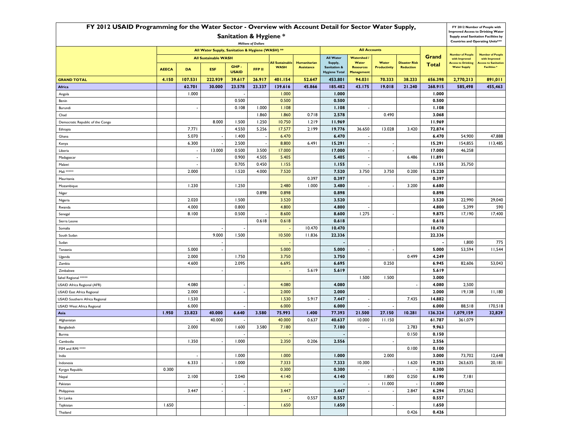| FY 2012 USAID Programming for the Water Sector - Overview with Account Detail for Sector Water Supply, |                                                                           |                                        |                                                  |                                   |                                                 |                                                |                              |                                   |                          |                                                  |                                                  |                                          | FY 2012 Number of People with |                                                                                                                             |  |
|--------------------------------------------------------------------------------------------------------|---------------------------------------------------------------------------|----------------------------------------|--------------------------------------------------|-----------------------------------|-------------------------------------------------|------------------------------------------------|------------------------------|-----------------------------------|--------------------------|--------------------------------------------------|--------------------------------------------------|------------------------------------------|-------------------------------|-----------------------------------------------------------------------------------------------------------------------------|--|
| <b>Sanitation &amp; Hygiene *</b><br><b>Millions of Dollars</b>                                        |                                                                           |                                        |                                                  |                                   |                                                 |                                                |                              |                                   |                          |                                                  |                                                  |                                          |                               | <b>Improved Access to Drinking Water</b><br>Supply anad Sanitation Facilities by<br><b>Countries and Operating Units***</b> |  |
|                                                                                                        |                                                                           |                                        | All Water Supply, Sanitation & Hygiene (WASH) ** |                                   |                                                 |                                                |                              |                                   | <b>All Accounts</b>      |                                                  |                                                  |                                          |                               |                                                                                                                             |  |
|                                                                                                        | <b>All Sustainable WASH</b>                                               |                                        |                                                  |                                   |                                                 | <b>All Water</b>                               | <b>Watershed /</b>           |                                   |                          | Grand                                            | <b>Number of People</b><br>with Improved         | <b>Number of People</b><br>with Improved |                               |                                                                                                                             |  |
|                                                                                                        | GHP-<br><b>AEECA</b><br><b>DA</b><br><b>ESF</b><br>FFP II<br><b>USAID</b> |                                        | <b>All Sustainable</b><br><b>WASH</b>            | Humanitarian<br><b>Assistance</b> | Supply,<br>Sanitation &<br><b>Hygiene Total</b> | Water<br><b>Resources</b><br><b>Management</b> | Water<br><b>Productivity</b> | <b>Disaster Risk</b><br>Reduction | Total                    | <b>Access to Drinking</b><br><b>Water Supply</b> | <b>Access to Sanitation</b><br><b>Facilities</b> |                                          |                               |                                                                                                                             |  |
| <b>GRAND TOTAL</b>                                                                                     | 4.150                                                                     | 107.531<br>222.939<br>39.617<br>26.917 |                                                  | 401.154                           | 52.647                                          | 453.801                                        | 94.031                       | 70.333                            | 38.233                   | 656.398                                          | 2,770,213                                        | 891,011                                  |                               |                                                                                                                             |  |
| Africa                                                                                                 |                                                                           | 62.701                                 | 30.000                                           | 23.578<br>23.337                  |                                                 | 139.616                                        | 45.866                       | 185.482                           | 43.175                   | 19.018                                           | 21.240                                           | 268.915                                  | 585,498                       | 455,463                                                                                                                     |  |
| Angola                                                                                                 | 1.000                                                                     |                                        |                                                  | 1.000                             |                                                 | 1.000                                          |                              |                                   |                          | 1.000                                            |                                                  |                                          |                               |                                                                                                                             |  |
| Benin                                                                                                  |                                                                           |                                        |                                                  | 0.500                             |                                                 | 0.500                                          |                              | 0.500                             |                          |                                                  |                                                  | 0.500                                    |                               |                                                                                                                             |  |
| Burundi                                                                                                |                                                                           |                                        |                                                  | 0.108                             | 1.000                                           | 1.108                                          |                              | 1.108                             |                          |                                                  |                                                  | 1.108                                    |                               |                                                                                                                             |  |
| Chad                                                                                                   |                                                                           |                                        |                                                  |                                   | 1.860                                           | 1.860                                          | 0.718                        | 2.578                             |                          | 0.490                                            |                                                  |                                          |                               |                                                                                                                             |  |
| Democratic Republic of the Congo                                                                       |                                                                           |                                        | 8.000                                            | 1.500                             | 1.250                                           | 10.750                                         | 1.219                        | 11.969                            |                          |                                                  |                                                  | 11.969                                   |                               |                                                                                                                             |  |
| Ethiopia                                                                                               |                                                                           | 7.771                                  |                                                  | 4.550                             | 5.256                                           | 17.577                                         | 2.199                        | 19.776                            | 36.650                   | 13.028                                           | 3.420                                            | 72.874                                   |                               |                                                                                                                             |  |
| Ghana                                                                                                  |                                                                           | 5.070                                  |                                                  | 1.400                             |                                                 | 6.470                                          |                              | 6.470                             |                          |                                                  |                                                  | 6.470                                    | 54,900                        | 47,888                                                                                                                      |  |
| Kenya                                                                                                  |                                                                           | 6.300                                  |                                                  | 2.500                             |                                                 | 8.800                                          | 6.491                        | 15.291                            | $\overline{\phantom{a}}$ | $\overline{\phantom{a}}$                         |                                                  | 15.291                                   | 154,855                       | 113,485                                                                                                                     |  |
| Liberia                                                                                                |                                                                           |                                        | 13.000                                           | 0.500                             | 3.500                                           | 17.000                                         |                              | 17.000                            |                          |                                                  |                                                  | 17.000                                   | 46,258                        |                                                                                                                             |  |
| Madagascar                                                                                             |                                                                           |                                        |                                                  | 0.900                             | 4.505                                           | 5.405                                          |                              | 5.405                             |                          |                                                  | 6.486                                            | 11.891                                   |                               |                                                                                                                             |  |
| Malawi                                                                                                 |                                                                           | $\overline{\phantom{a}}$               |                                                  | 0.705                             | 0.450                                           | 1.155                                          |                              | 1.155                             |                          |                                                  |                                                  | 1.155                                    | 35,750                        |                                                                                                                             |  |
| Mali *****                                                                                             |                                                                           | 2.000                                  |                                                  | 1.520                             | 4.000                                           | 7.520                                          |                              | 7.520                             | 3.750                    | 3.750                                            | 0.200                                            | 15.220                                   |                               |                                                                                                                             |  |
| Mauritania                                                                                             |                                                                           |                                        |                                                  |                                   |                                                 |                                                | 0.397                        | 0.397                             |                          |                                                  |                                                  | 0.397                                    |                               |                                                                                                                             |  |
| Mozambique                                                                                             |                                                                           | 1.230                                  |                                                  | 1.250                             |                                                 | 2.480                                          | 1.000                        | 3.480                             |                          |                                                  | 3.200                                            | 6.680                                    |                               |                                                                                                                             |  |
| Niger                                                                                                  |                                                                           |                                        |                                                  |                                   | 0.898                                           | 0.898                                          |                              | 0.898                             |                          |                                                  |                                                  | 0.898                                    |                               |                                                                                                                             |  |
| Nigeria                                                                                                |                                                                           | 2.020                                  |                                                  | 1.500                             |                                                 | 3.520                                          |                              | 3.520                             |                          |                                                  |                                                  | 3.520                                    | 22,990                        | 29,040                                                                                                                      |  |
| Rwanda                                                                                                 | 4.000<br>0.800<br>8.100<br>0.500                                          |                                        |                                                  | 4.800<br>8.600                    |                                                 | 4.800<br>8.600                                 | 1.275                        |                                   |                          | 4.800<br>9.875                                   | 5,399<br>17,190                                  | 590<br>17,400                            |                               |                                                                                                                             |  |
| Senegal                                                                                                |                                                                           |                                        |                                                  |                                   | 0.618                                           | 0.618                                          |                              | 0.618                             |                          |                                                  |                                                  | 0.618                                    |                               |                                                                                                                             |  |
| Sierra Leone<br>Somalia                                                                                |                                                                           |                                        |                                                  |                                   |                                                 |                                                | 10.470                       | 10.470                            |                          |                                                  |                                                  | 10.470                                   |                               |                                                                                                                             |  |
| South Sudan                                                                                            |                                                                           |                                        | 9.000                                            | 1.500                             |                                                 | 10.500                                         | 11.836                       | 22.336                            |                          |                                                  |                                                  | 22.336                                   |                               |                                                                                                                             |  |
| Sudan                                                                                                  |                                                                           |                                        |                                                  |                                   |                                                 |                                                |                              |                                   |                          |                                                  |                                                  |                                          | 1,800                         | 775                                                                                                                         |  |
| Tanzania                                                                                               |                                                                           | 5.000                                  |                                                  |                                   |                                                 | 5.000                                          |                              | 5.000                             |                          |                                                  |                                                  | 5.000                                    | 53,594                        | 11,544                                                                                                                      |  |
| Uganda                                                                                                 |                                                                           | 2.000                                  |                                                  | 1.750                             |                                                 | 3.750                                          |                              | 3.750                             |                          |                                                  | 0.499                                            | 4.249                                    |                               |                                                                                                                             |  |
| Zambia                                                                                                 |                                                                           | 4.600                                  |                                                  | 2.095                             |                                                 | 6.695                                          |                              | 6.695                             |                          | 0.250                                            |                                                  | 6.945                                    | 82,606                        | 53,043                                                                                                                      |  |
| Zimbabwe                                                                                               |                                                                           |                                        |                                                  |                                   |                                                 |                                                | 5.619                        | 5.619                             |                          |                                                  |                                                  | 5.619                                    |                               |                                                                                                                             |  |
| Sahel Regional ****                                                                                    |                                                                           |                                        |                                                  |                                   |                                                 |                                                |                              |                                   | 1.500                    | 1.500                                            |                                                  | 3.000                                    |                               |                                                                                                                             |  |
| USAID Africa Regional (AFR)                                                                            |                                                                           | 4.080                                  |                                                  |                                   |                                                 | 4.080                                          |                              | 4.080                             |                          |                                                  |                                                  | 4.080                                    | 2,500                         |                                                                                                                             |  |
| <b>USAID East Africa Regional</b>                                                                      |                                                                           | 2.000                                  |                                                  |                                   |                                                 | 2.000                                          |                              | 2.000                             |                          |                                                  |                                                  | 2.000                                    | 19,138                        | 11,180                                                                                                                      |  |
| USAID Southern Africa Regional                                                                         |                                                                           | 1.530                                  |                                                  |                                   |                                                 | 1.530                                          | 5.917                        | 7.447                             |                          |                                                  | 7.435                                            | 14.882                                   |                               |                                                                                                                             |  |
| <b>USAID West Africa Regional</b>                                                                      |                                                                           | 6.000                                  |                                                  |                                   |                                                 | 6.000                                          |                              | 6.000                             |                          |                                                  |                                                  | 6.000                                    | 88,518                        | 170,518                                                                                                                     |  |
| Asia                                                                                                   | 1.950                                                                     | 23.823                                 | 40.000                                           | 6.640                             | 3.580                                           | 75.993                                         | 1.400                        | 77.393                            | 21.500                   | 27.150                                           | 10.281                                           | 136.324                                  | 1,079,159                     | 32,829                                                                                                                      |  |
| Afghanistan                                                                                            |                                                                           |                                        | 40.000                                           | . .                               |                                                 | 40.000                                         | 0.637                        | 40.637                            | 10.000                   | 11.150                                           |                                                  | 61.787                                   | 361,079                       |                                                                                                                             |  |
| Bangladesh                                                                                             |                                                                           | 2.000                                  |                                                  | 1.600                             | 3.580                                           | 7.180                                          |                              | 7.180                             |                          |                                                  | 2.783                                            | 9.963                                    |                               |                                                                                                                             |  |
| Burma                                                                                                  |                                                                           |                                        |                                                  |                                   |                                                 |                                                |                              |                                   |                          |                                                  | 0.150                                            | 0.150                                    |                               |                                                                                                                             |  |
| Cambodia                                                                                               |                                                                           | 1.350                                  |                                                  | 1.000                             |                                                 | 2.350                                          | 0.206                        | 2.556                             |                          | $\overline{\phantom{a}}$                         |                                                  | 2.556                                    |                               |                                                                                                                             |  |
| FSM and RMI ****                                                                                       |                                                                           |                                        |                                                  |                                   |                                                 |                                                |                              |                                   |                          |                                                  | 0.100                                            | 0.100                                    |                               |                                                                                                                             |  |
| India                                                                                                  |                                                                           |                                        |                                                  | 1.000                             |                                                 | 1.000                                          |                              | 1.000                             |                          | 2.000                                            |                                                  | 3.000                                    | 73,702                        | 12,648                                                                                                                      |  |
| Indonesia                                                                                              |                                                                           | 6.333                                  |                                                  | 1.000                             |                                                 | 7.333                                          |                              | 7.333                             | 10.300                   |                                                  | 1.620                                            | 19.253                                   | 263,635                       | 20,181                                                                                                                      |  |
| Kyrgyz Republic                                                                                        | 0.300                                                                     |                                        |                                                  | 0.300                             |                                                 | 0.300                                          | $\overline{\phantom{a}}$     | $\blacksquare$                    |                          | 0.300                                            |                                                  |                                          |                               |                                                                                                                             |  |
| Nepal                                                                                                  | 2.100<br>2.040                                                            |                                        |                                                  | 4.140                             |                                                 | 4.140                                          | 1.800                        |                                   | 0.250                    | 6.190                                            | 7,181                                            |                                          |                               |                                                                                                                             |  |
| Pakistan                                                                                               |                                                                           |                                        |                                                  | $\overline{\phantom{a}}$          |                                                 |                                                |                              |                                   |                          | 11.000                                           | $\overline{\phantom{a}}$                         | 11.000                                   |                               |                                                                                                                             |  |
| Philippines                                                                                            | 3.447<br>$\blacksquare$                                                   |                                        |                                                  | 3.447                             |                                                 | 3.447                                          |                              | 2.847<br>$\blacksquare$           |                          | 6.294                                            | 373,562                                          |                                          |                               |                                                                                                                             |  |
| Sri Lanka                                                                                              |                                                                           |                                        |                                                  | 1.650                             | 0.557                                           | 0.557                                          |                              |                                   |                          | 0.557                                            |                                                  |                                          |                               |                                                                                                                             |  |
| Tajikistan                                                                                             | 1.650                                                                     |                                        |                                                  |                                   |                                                 |                                                |                              | 1.650                             |                          |                                                  |                                                  | 1.650                                    |                               |                                                                                                                             |  |
| Thailand                                                                                               |                                                                           |                                        |                                                  |                                   |                                                 |                                                |                              |                                   |                          |                                                  | 0.426                                            | 0.426                                    |                               |                                                                                                                             |  |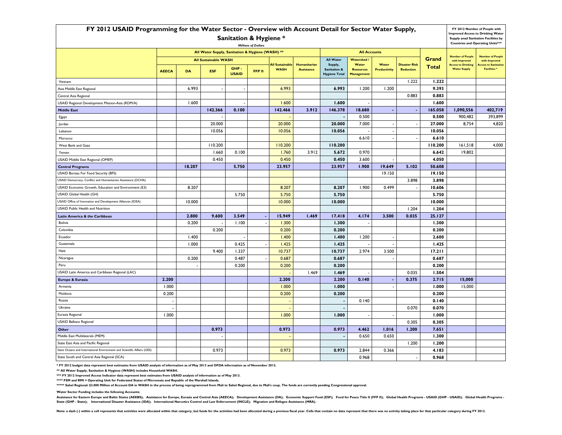| FY 2012 USAID Programming for the Water Sector - Overview with Account Detail for Sector Water Supply, |                                                                         |                |                             |                      |        |                                       |                                          |                                                            |                                                |                              |                                          |                |                                                  | FY 2012 Number of People with<br><b>Improved Access to Drinking Water</b>              |  |
|--------------------------------------------------------------------------------------------------------|-------------------------------------------------------------------------|----------------|-----------------------------|----------------------|--------|---------------------------------------|------------------------------------------|------------------------------------------------------------|------------------------------------------------|------------------------------|------------------------------------------|----------------|--------------------------------------------------|----------------------------------------------------------------------------------------|--|
| <b>Sanitation &amp; Hygiene *</b><br><b>Millions of Dollars</b>                                        |                                                                         |                |                             |                      |        |                                       |                                          |                                                            |                                                |                              |                                          |                |                                                  | <b>Supply anad Sanitation Facilities by</b><br><b>Countries and Operating Units***</b> |  |
|                                                                                                        | All Water Supply, Sanitation & Hygiene (WASH) **<br><b>All Accounts</b> |                |                             |                      |        |                                       |                                          |                                                            |                                                |                              |                                          |                |                                                  |                                                                                        |  |
|                                                                                                        |                                                                         |                | <b>All Sustainable WASH</b> |                      |        |                                       |                                          | <b>All Water</b>                                           | <b>Watershed /</b>                             |                              |                                          | Grand          | <b>Number of People</b><br>with Improved         | <b>Number of People</b><br>with Improved                                               |  |
|                                                                                                        | <b>AEECA</b>                                                            | <b>DA</b>      | <b>ESF</b>                  | GHP-<br><b>USAID</b> | FFP II | <b>All Sustainable</b><br><b>WASH</b> | <b>Humanitarian</b><br><b>Assistance</b> | Supply,<br><b>Sanitation &amp;</b><br><b>Hygiene Total</b> | Water<br><b>Resources</b><br><b>Management</b> | Water<br><b>Productivity</b> | <b>Disaster Risk</b><br><b>Reduction</b> | <b>Total</b>   | <b>Access to Drinking</b><br><b>Water Supply</b> | <b>Access to Sanitation</b><br><b>Facilities</b> *                                     |  |
| Vietnam                                                                                                |                                                                         |                |                             |                      |        |                                       |                                          |                                                            |                                                |                              | 1.222                                    | 1.222          |                                                  |                                                                                        |  |
| Asia Middle East Regional                                                                              |                                                                         | 6.993          | ٠.                          |                      |        | 6.993                                 |                                          | 6.993                                                      | 1.200                                          | 1.200                        |                                          | 9.393          |                                                  |                                                                                        |  |
| Central Asia Regional                                                                                  |                                                                         |                |                             |                      |        |                                       |                                          |                                                            |                                                |                              | 0.883                                    | 0.883          |                                                  |                                                                                        |  |
| USAID Regional Development Mission-Asia (RDM/A)                                                        |                                                                         | 1.600          |                             |                      |        | 1.600                                 |                                          | 1.600                                                      |                                                |                              |                                          | 1.600          |                                                  |                                                                                        |  |
| <b>Middle East</b>                                                                                     |                                                                         |                | 142.366                     | 0.100                |        | 142.466                               | 3.912                                    | 146.378                                                    | 18.680                                         | $\sim$                       | ×,                                       | 165.058        | 1,090,556                                        | 402,719                                                                                |  |
| Egypt                                                                                                  |                                                                         |                |                             |                      |        |                                       |                                          |                                                            | 0.500                                          |                              |                                          | 0.500          | 900,482                                          | 393,899                                                                                |  |
| Jordan                                                                                                 |                                                                         |                | 20.000                      |                      |        | 20.000                                |                                          | 20.000                                                     | 7.000                                          | $\sim$                       | $\overline{\phantom{a}}$                 | 27.000         | 8,754                                            | 4,820                                                                                  |  |
| Lebanon                                                                                                |                                                                         |                | 10.056                      |                      |        | 10.056                                |                                          | 10.056                                                     |                                                | $\sim$                       |                                          | 10.056         |                                                  |                                                                                        |  |
| Morocco                                                                                                |                                                                         |                |                             |                      |        |                                       |                                          |                                                            | 6.610                                          | . .                          | $\overline{\phantom{a}}$                 | 6.610          |                                                  |                                                                                        |  |
| West Bank and Gaza                                                                                     |                                                                         |                | 110.200                     |                      |        | 110.200                               |                                          | 110.200                                                    |                                                |                              |                                          | 110.200        | 161,518                                          | 4,000                                                                                  |  |
| Yemen                                                                                                  |                                                                         |                | 1.660                       | 0.100                |        | 1.760                                 | 3.912                                    | 5.672                                                      | 0.970                                          |                              |                                          | 6.642          | 19,802                                           |                                                                                        |  |
| USAID Middle East Regional (OMEP)                                                                      |                                                                         |                | 0.450                       |                      |        | 0.450                                 |                                          | 0.450                                                      | 3.600                                          |                              |                                          | 4.050          |                                                  |                                                                                        |  |
| <b>Central Programs</b>                                                                                |                                                                         | 18.207         |                             | 5.750                |        | 23.957                                |                                          | 23.957                                                     | 1.900                                          | 19.649                       | 5.102                                    | 50.608         |                                                  |                                                                                        |  |
| USAID Bureau For Food Security (BFS)                                                                   |                                                                         |                |                             |                      |        |                                       |                                          |                                                            |                                                | 19.150                       |                                          | 19.150         |                                                  |                                                                                        |  |
| USAID Democracy, Conflict and Humanitarian Assistance (DCHA)                                           |                                                                         |                |                             |                      |        |                                       |                                          |                                                            |                                                |                              | 3.898                                    | 3.898          |                                                  |                                                                                        |  |
| USAID Economic Growth, Education and Environment (E3)                                                  |                                                                         | 8.207          |                             |                      |        | 8.207                                 |                                          | 8.207                                                      | 1.900                                          | 0.499                        |                                          | 10.606         |                                                  |                                                                                        |  |
| USAID Global Health (GH)                                                                               |                                                                         |                |                             | 5.750                |        | 5.750                                 |                                          | 5.750                                                      |                                                |                              |                                          | 5.750          |                                                  |                                                                                        |  |
| USAID Office of Innovation and Development Alliances (IDEA)                                            |                                                                         | 10.000         |                             |                      |        | 10.000                                |                                          | 10.000                                                     |                                                |                              |                                          | 10.000         |                                                  |                                                                                        |  |
| USAID Public Health and Nutrition                                                                      |                                                                         |                |                             |                      |        |                                       |                                          |                                                            |                                                |                              | 1.204                                    | 1.204          |                                                  |                                                                                        |  |
| Latin America & the Caribbean                                                                          |                                                                         | 2.800          | 9.600                       | 3.549                |        | 15.949                                | 1.469                                    | 17.418                                                     | 4.174                                          | 3.500                        | 0.035                                    | 25.127         |                                                  |                                                                                        |  |
| Bolivia                                                                                                |                                                                         | 0.200          |                             | 1.100                |        | 1.300                                 |                                          | 1.300                                                      |                                                |                              |                                          | 1.300          |                                                  |                                                                                        |  |
| Colombia                                                                                               |                                                                         |                | 0.200                       |                      |        | 0.200                                 |                                          | 0.200                                                      |                                                |                              |                                          | 0.200          |                                                  |                                                                                        |  |
| Ecuador<br>Guatemala                                                                                   |                                                                         | 1.400<br>1.000 |                             | 0.425                |        | 1.400<br>1.425                        |                                          | 1.400<br>1.425                                             | 1.200                                          | ÷.                           |                                          | 2.600<br>1.425 |                                                  |                                                                                        |  |
| Haiti                                                                                                  |                                                                         |                | 9.400                       | 1.337                |        | 10.737                                |                                          | 10.737                                                     | 2.974                                          | 3.500                        |                                          | 17.211         |                                                  |                                                                                        |  |
| Nicaragua                                                                                              |                                                                         | 0.200          |                             | 0.487                |        | 0.687                                 |                                          | 0.687                                                      |                                                |                              |                                          | 0.687          |                                                  |                                                                                        |  |
| Peru                                                                                                   |                                                                         |                |                             | 0.200                |        | 0.200                                 |                                          | 0.200                                                      |                                                |                              |                                          | 0.200          |                                                  |                                                                                        |  |
| USAID Latin America and Caribbean Regional (LAC)                                                       |                                                                         |                |                             |                      |        |                                       | 1.469                                    | 1.469                                                      |                                                |                              | 0.035                                    | 1.504          |                                                  |                                                                                        |  |
| <b>Europe &amp; Eurasia</b>                                                                            | 2.200                                                                   |                |                             |                      |        | 2.200                                 |                                          | 2.200                                                      | 0.140                                          | $\sim$                       | 0.375                                    | 2.715          | 15,000                                           |                                                                                        |  |
| Armenia                                                                                                | 1.000                                                                   |                |                             |                      |        | 1.000                                 |                                          | 1.000                                                      |                                                |                              |                                          | 1.000          | 15,000                                           |                                                                                        |  |
| Moldova                                                                                                | 0.200                                                                   |                |                             |                      |        | 0.200                                 |                                          | 0.200                                                      |                                                |                              |                                          | 0.200          |                                                  |                                                                                        |  |
| Russia                                                                                                 |                                                                         |                |                             |                      |        |                                       |                                          | $\blacksquare$                                             | 0.140                                          |                              |                                          | 0.140          |                                                  |                                                                                        |  |
| Ukraine                                                                                                |                                                                         |                |                             |                      |        |                                       |                                          |                                                            |                                                |                              | 0.070                                    | 0.070          |                                                  |                                                                                        |  |
| Eurasia Regional                                                                                       | 1.000                                                                   |                |                             |                      |        | 1.000                                 |                                          | 1.000                                                      |                                                | . .                          |                                          | 1.000          |                                                  |                                                                                        |  |
| USAID Balkans Regional                                                                                 |                                                                         |                |                             |                      |        |                                       |                                          |                                                            |                                                |                              | 0.305                                    | 0.305          |                                                  |                                                                                        |  |
| Other                                                                                                  |                                                                         |                | 0.973                       |                      |        | 0.973                                 |                                          | 0.973                                                      | 4.462                                          | 1.016                        | 1.200                                    | 7.651          |                                                  |                                                                                        |  |
| Middle East Multilaterals (MEM)                                                                        |                                                                         |                |                             |                      |        |                                       |                                          | $\blacksquare$                                             | 0.650                                          | 0.650                        |                                          | 1.300          |                                                  |                                                                                        |  |
| State East Asia and Pacific Regional                                                                   |                                                                         |                |                             |                      |        |                                       |                                          |                                                            |                                                |                              | 1.200                                    | 1.200          |                                                  |                                                                                        |  |
| State Oceans and International Environment and Scientific Affairs (OES)                                |                                                                         |                | 0.973                       |                      |        | 0.973                                 |                                          | 0.973                                                      | 2.844                                          | 0.366                        |                                          | 4.183          |                                                  |                                                                                        |  |
| State South and Central Asia Regional (SCA)                                                            |                                                                         |                |                             |                      |        |                                       |                                          |                                                            | 0.968                                          |                              |                                          | 0.968          |                                                  |                                                                                        |  |

**\* FY 2012 budget data represent best estimates from USAID analysis of information as of May 2013 and OFDA information as of November 2012.**

**\*\* All Water Supply, Sanitation & Hygiene (WASH) includes Household WASH.**

**\*\*\* FY 2012 Improved Access Indicator data represent best estimates from USAID analysis of information as of May 2013.**

**\*\*\*\* FSM and RMI = Operating Unit for Federated States of Micronesia and Republic of the Marshall Islands.**

\*\*\*\*\* Sahel Regional: \$3.000 Million of Account DA in WASH in the process of being reprogrammed from Mali to Sahel Regional, due to Mali's coup. The funds are currently pending Congressional approval.

**Water Sector Funding includes the following Accounts:**

Assistance for Eastern Europe and Baltic States (AEEBS); Assistance for Europe, Eurasia and Central Asia (AEECA); Development Assistance (DA); Economic Support Fund (ESF); Food for Peace Title II (FFP II); Global Health Pr State (GHP - State); International Disaster Assistance (IDA); International Narcotics Control and Law Enforcement (INCLE); Migration and Refugee Assistance (MRA).

Note: a dash (-) within a cell represents that activities were allocated within that category, but funds for the activities had been allocated during a previous fiscal year. Cells that contain no data represent that there